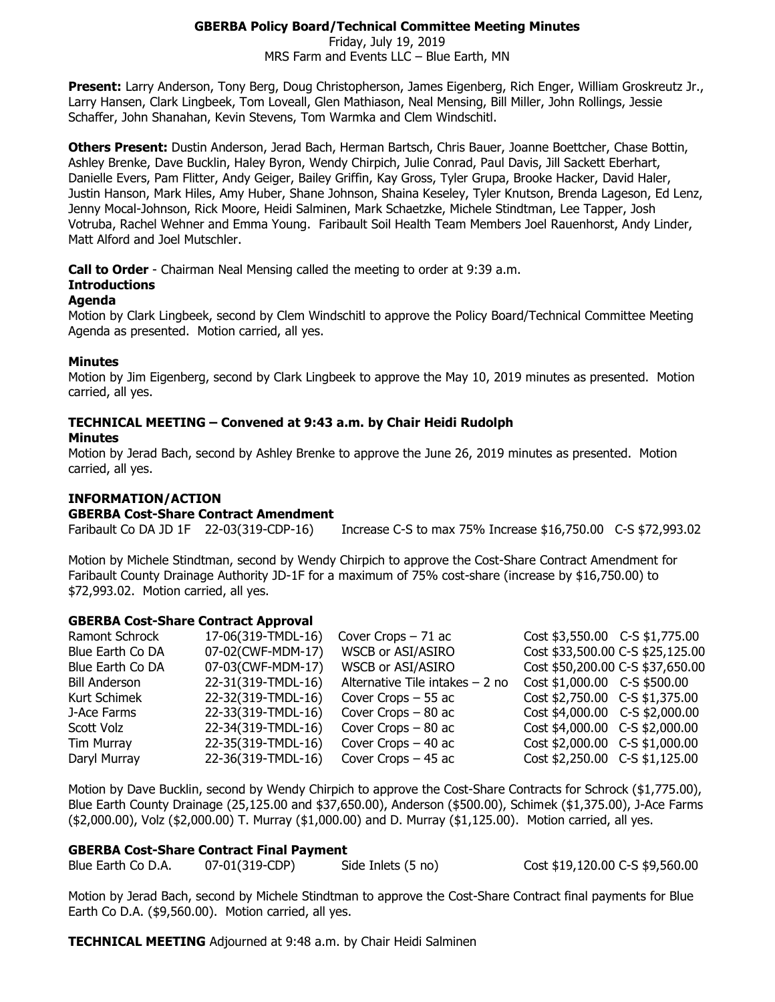# **GBERBA Policy Board/Technical Committee Meeting Minutes**

Friday, July 19, 2019 MRS Farm and Events LLC – Blue Earth, MN

**Present:** Larry Anderson, Tony Berg, Doug Christopherson, James Eigenberg, Rich Enger, William Groskreutz Jr., Larry Hansen, Clark Lingbeek, Tom Loveall, Glen Mathiason, Neal Mensing, Bill Miller, John Rollings, Jessie Schaffer, John Shanahan, Kevin Stevens, Tom Warmka and Clem Windschitl.

**Others Present:** Dustin Anderson, Jerad Bach, Herman Bartsch, Chris Bauer, Joanne Boettcher, Chase Bottin, Ashley Brenke, Dave Bucklin, Haley Byron, Wendy Chirpich, Julie Conrad, Paul Davis, Jill Sackett Eberhart, Danielle Evers, Pam Flitter, Andy Geiger, Bailey Griffin, Kay Gross, Tyler Grupa, Brooke Hacker, David Haler, Justin Hanson, Mark Hiles, Amy Huber, Shane Johnson, Shaina Keseley, Tyler Knutson, Brenda Lageson, Ed Lenz, Jenny Mocal-Johnson, Rick Moore, Heidi Salminen, Mark Schaetzke, Michele Stindtman, Lee Tapper, Josh Votruba, Rachel Wehner and Emma Young. Faribault Soil Health Team Members Joel Rauenhorst, Andy Linder, Matt Alford and Joel Mutschler.

**Call to Order** - Chairman Neal Mensing called the meeting to order at 9:39 a.m.

# **Introductions**

#### **Agenda**

Motion by Clark Lingbeek, second by Clem Windschitl to approve the Policy Board/Technical Committee Meeting Agenda as presented. Motion carried, all yes.

## **Minutes**

Motion by Jim Eigenberg, second by Clark Lingbeek to approve the May 10, 2019 minutes as presented. Motion carried, all yes.

# **TECHNICAL MEETING – Convened at 9:43 a.m. by Chair Heidi Rudolph**

#### **Minutes**

Motion by Jerad Bach, second by Ashley Brenke to approve the June 26, 2019 minutes as presented. Motion carried, all yes.

# **INFORMATION/ACTION**

**GBERBA Cost-Share Contract Amendment**

Faribault Co DA JD 1F 22-03(319-CDP-16) Increase C-S to max 75% Increase \$16,750.00 C-S \$72,993.02

Motion by Michele Stindtman, second by Wendy Chirpich to approve the Cost-Share Contract Amendment for Faribault County Drainage Authority JD-1F for a maximum of 75% cost-share (increase by \$16,750.00) to \$72,993.02. Motion carried, all yes.

## **GBERBA Cost-Share Contract Approval**

| Ramont Schrock       | 17-06(319-TMDL-16) | Cover Crops $-71$ ac             | Cost \$3,550.00 C-S \$1,775.00   |  |
|----------------------|--------------------|----------------------------------|----------------------------------|--|
| Blue Earth Co DA     | 07-02(CWF-MDM-17)  | WSCB or ASI/ASIRO                | Cost \$33,500.00 C-S \$25,125.00 |  |
| Blue Earth Co DA     | 07-03(CWF-MDM-17)  | WSCB or ASI/ASIRO                | Cost \$50,200.00 C-S \$37,650.00 |  |
| <b>Bill Anderson</b> | 22-31(319-TMDL-16) | Alternative Tile intakes $-2$ no | $Cost $1,000.00$ C-S \$500.00    |  |
| Kurt Schimek         | 22-32(319-TMDL-16) | Cover Crops - 55 ac              | Cost \$2,750.00 C-S \$1,375.00   |  |
| J-Ace Farms          | 22-33(319-TMDL-16) | Cover Crops $-80$ ac             | Cost \$4,000.00 C-S \$2,000.00   |  |
| Scott Volz           | 22-34(319-TMDL-16) | Cover Crops $-80$ ac             | Cost \$4,000.00 C-S \$2,000.00   |  |
| Tim Murray           | 22-35(319-TMDL-16) | Cover Crops $-40$ ac             | Cost \$2,000.00 C-S \$1,000.00   |  |
| Daryl Murray         | 22-36(319-TMDL-16) | Cover Crops $-45$ ac             | Cost \$2,250.00 C-S \$1,125.00   |  |

Motion by Dave Bucklin, second by Wendy Chirpich to approve the Cost-Share Contracts for Schrock (\$1,775.00), Blue Earth County Drainage (25,125.00 and \$37,650.00), Anderson (\$500.00), Schimek (\$1,375.00), J-Ace Farms (\$2,000.00), Volz (\$2,000.00) T. Murray (\$1,000.00) and D. Murray (\$1,125.00). Motion carried, all yes.

## **GBERBA Cost-Share Contract Final Payment**

|  | Blue Earth Co D.A. | 07-01(319-CDP) | Side Inlets (5 no) |
|--|--------------------|----------------|--------------------|
|--|--------------------|----------------|--------------------|

Cost \$19,120.00 C-S \$9,560.00

Motion by Jerad Bach, second by Michele Stindtman to approve the Cost-Share Contract final payments for Blue Earth Co D.A. (\$9,560.00). Motion carried, all yes.

**TECHNICAL MEETING** Adjourned at 9:48 a.m. by Chair Heidi Salminen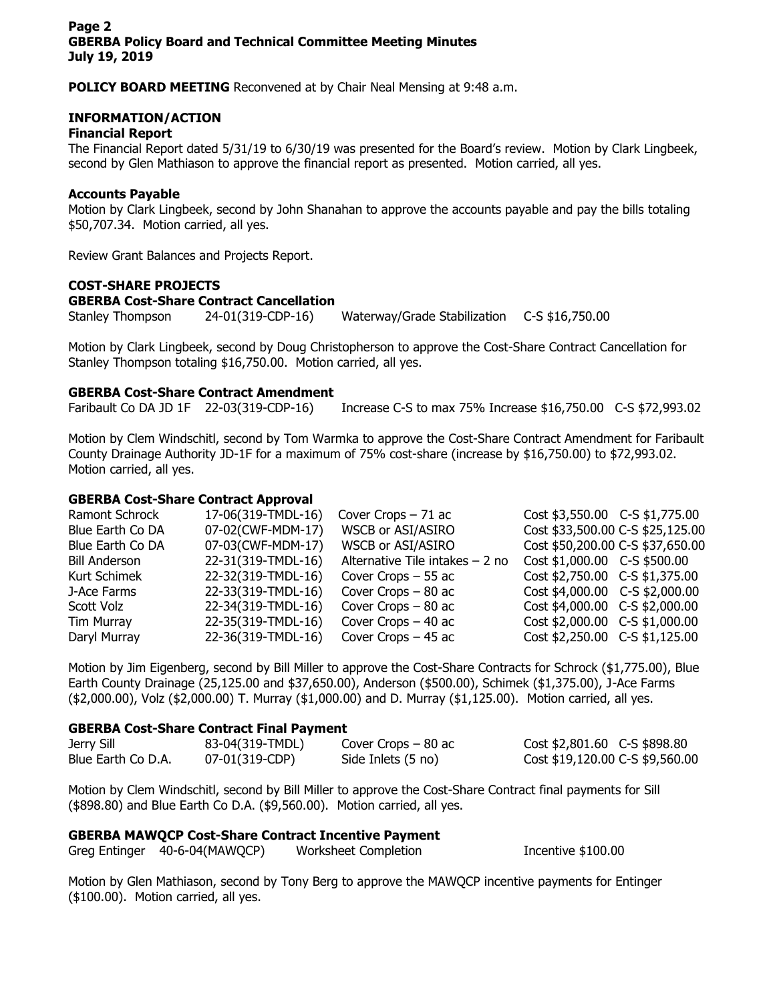**POLICY BOARD MEETING** Reconvened at by Chair Neal Mensing at 9:48 a.m.

# **INFORMATION/ACTION**

#### **Financial Report**

The Financial Report dated 5/31/19 to 6/30/19 was presented for the Board's review. Motion by Clark Lingbeek, second by Glen Mathiason to approve the financial report as presented. Motion carried, all yes.

#### **Accounts Payable**

Motion by Clark Lingbeek, second by John Shanahan to approve the accounts payable and pay the bills totaling \$50,707.34. Motion carried, all yes.

Review Grant Balances and Projects Report.

# **COST-SHARE PROJECTS**

#### **GBERBA Cost-Share Contract Cancellation**

Stanley Thompson 24-01(319-CDP-16) Waterway/Grade Stabilization C-S \$16,750.00

Motion by Clark Lingbeek, second by Doug Christopherson to approve the Cost-Share Contract Cancellation for Stanley Thompson totaling \$16,750.00. Motion carried, all yes.

## **GBERBA Cost-Share Contract Amendment**

Faribault Co DA JD 1F 22-03(319-CDP-16) Increase C-S to max 75% Increase \$16,750.00 C-S \$72,993.02

Motion by Clem Windschitl, second by Tom Warmka to approve the Cost-Share Contract Amendment for Faribault County Drainage Authority JD-1F for a maximum of 75% cost-share (increase by \$16,750.00) to \$72,993.02. Motion carried, all yes.

## **GBERBA Cost-Share Contract Approval**

| Ramont Schrock       | 17-06(319-TMDL-16) | Cover Crops $-71$ ac             | Cost \$3,550.00 C-S \$1,775.00   |  |
|----------------------|--------------------|----------------------------------|----------------------------------|--|
| Blue Earth Co DA     | 07-02(CWF-MDM-17)  | WSCB or ASI/ASIRO                | Cost \$33,500.00 C-S \$25,125.00 |  |
| Blue Earth Co DA     | 07-03(CWF-MDM-17)  | WSCB or ASI/ASIRO                | Cost \$50,200.00 C-S \$37,650.00 |  |
| <b>Bill Anderson</b> | 22-31(319-TMDL-16) | Alternative Tile intakes $-2$ no | $Cost $1,000.00$ C-S \$500.00    |  |
| Kurt Schimek         | 22-32(319-TMDL-16) | Cover Crops $-55$ ac             | Cost \$2,750.00 C-S \$1,375.00   |  |
| J-Ace Farms          | 22-33(319-TMDL-16) | Cover Crops $-80$ ac             | Cost \$4,000.00 C-S \$2,000.00   |  |
| Scott Volz           | 22-34(319-TMDL-16) | Cover Crops $-80$ ac             | Cost \$4,000.00 C-S \$2,000.00   |  |
| Tim Murray           | 22-35(319-TMDL-16) | Cover Crops $-40$ ac             | Cost \$2,000.00 C-S \$1,000.00   |  |
| Daryl Murray         | 22-36(319-TMDL-16) | Cover Crops $-45$ ac             | Cost \$2,250.00 C-S \$1,125.00   |  |

Motion by Jim Eigenberg, second by Bill Miller to approve the Cost-Share Contracts for Schrock (\$1,775.00), Blue Earth County Drainage (25,125.00 and \$37,650.00), Anderson (\$500.00), Schimek (\$1,375.00), J-Ace Farms (\$2,000.00), Volz (\$2,000.00) T. Murray (\$1,000.00) and D. Murray (\$1,125.00). Motion carried, all yes.

## **GBERBA Cost-Share Contract Final Payment**

| Jerry Sill         | 83-04(319-TMDL) | Cover Crops $-80$ ac | Cost \$2,801.60 C-S \$898.80    |
|--------------------|-----------------|----------------------|---------------------------------|
| Blue Earth Co D.A. | 07-01(319-CDP)  | Side Inlets (5 no)   | Cost \$19,120.00 C-S \$9,560.00 |

Motion by Clem Windschitl, second by Bill Miller to approve the Cost-Share Contract final payments for Sill (\$898.80) and Blue Earth Co D.A. (\$9,560.00). Motion carried, all yes.

# **GBERBA MAWQCP Cost-Share Contract Incentive Payment**

Greg Entinger 40-6-04(MAWOCP) Worksheet Completion **Incentive \$100.00** 

Motion by Glen Mathiason, second by Tony Berg to approve the MAWQCP incentive payments for Entinger (\$100.00). Motion carried, all yes.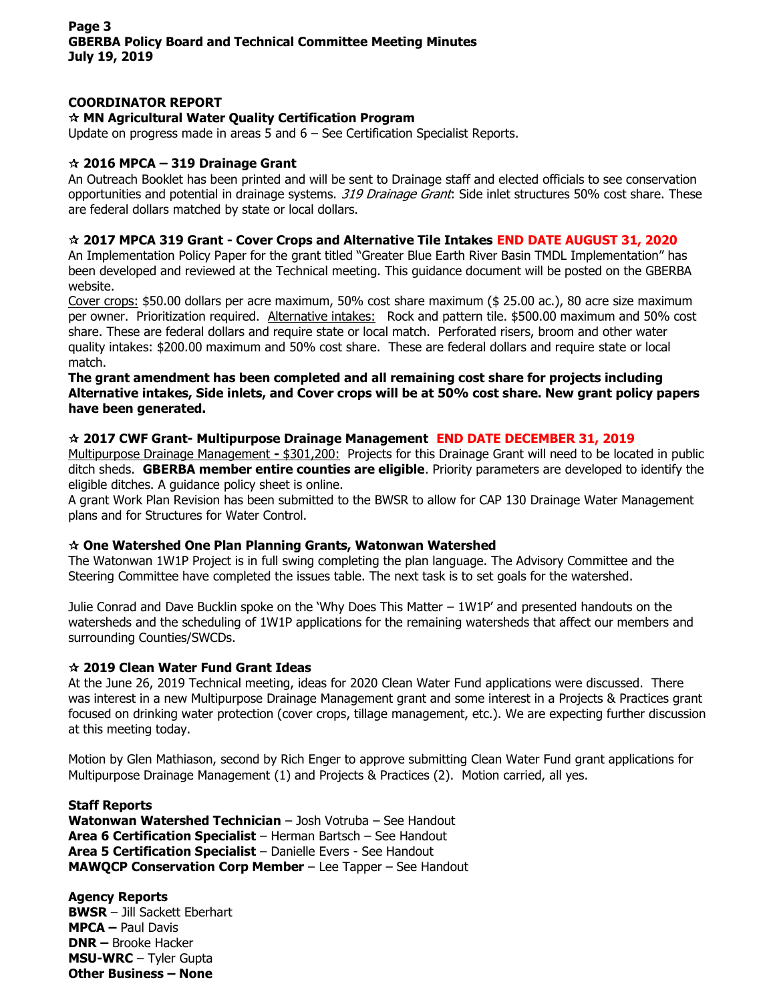# **COORDINATOR REPORT**

# **MN Agricultural Water Quality Certification Program**

Update on progress made in areas 5 and 6 – See Certification Specialist Reports.

# **2016 MPCA – 319 Drainage Grant**

An Outreach Booklet has been printed and will be sent to Drainage staff and elected officials to see conservation opportunities and potential in drainage systems. 319 Drainage Grant: Side inlet structures 50% cost share. These are federal dollars matched by state or local dollars.

#### **2017 MPCA 319 Grant - Cover Crops and Alternative Tile Intakes END DATE AUGUST 31, 2020**

An Implementation Policy Paper for the grant titled "Greater Blue Earth River Basin TMDL Implementation" has been developed and reviewed at the Technical meeting. This guidance document will be posted on the GBERBA website.

Cover crops: \$50.00 dollars per acre maximum, 50% cost share maximum (\$ 25.00 ac.), 80 acre size maximum per owner. Prioritization required. Alternative intakes: Rock and pattern tile. \$500.00 maximum and 50% cost share. These are federal dollars and require state or local match. Perforated risers, broom and other water quality intakes: \$200.00 maximum and 50% cost share. These are federal dollars and require state or local match.

#### **The grant amendment has been completed and all remaining cost share for projects including Alternative intakes, Side inlets, and Cover crops will be at 50% cost share. New grant policy papers have been generated.**

## **2017 CWF Grant- Multipurpose Drainage Management END DATE DECEMBER 31, 2019**

Multipurpose Drainage Management **-** \$301,200: Projects for this Drainage Grant will need to be located in public ditch sheds. **GBERBA member entire counties are eligible**. Priority parameters are developed to identify the eligible ditches. A guidance policy sheet is online.

A grant Work Plan Revision has been submitted to the BWSR to allow for CAP 130 Drainage Water Management plans and for Structures for Water Control.

## **One Watershed One Plan Planning Grants, Watonwan Watershed**

The Watonwan 1W1P Project is in full swing completing the plan language. The Advisory Committee and the Steering Committee have completed the issues table. The next task is to set goals for the watershed.

Julie Conrad and Dave Bucklin spoke on the 'Why Does This Matter – 1W1P' and presented handouts on the watersheds and the scheduling of 1W1P applications for the remaining watersheds that affect our members and surrounding Counties/SWCDs.

## **2019 Clean Water Fund Grant Ideas**

At the June 26, 2019 Technical meeting, ideas for 2020 Clean Water Fund applications were discussed. There was interest in a new Multipurpose Drainage Management grant and some interest in a Projects & Practices grant focused on drinking water protection (cover crops, tillage management, etc.). We are expecting further discussion at this meeting today.

Motion by Glen Mathiason, second by Rich Enger to approve submitting Clean Water Fund grant applications for Multipurpose Drainage Management (1) and Projects & Practices (2). Motion carried, all yes.

**Staff Reports Watonwan Watershed Technician** – Josh Votruba – See Handout **Area 6 Certification Specialist** – Herman Bartsch – See Handout **Area 5 Certification Specialist** – Danielle Evers - See Handout **MAWQCP Conservation Corp Member** – Lee Tapper – See Handout

**Agency Reports BWSR** – Jill Sackett Eberhart **MPCA –** Paul Davis **DNR –** Brooke Hacker **MSU-WRC** – Tyler Gupta **Other Business – None**